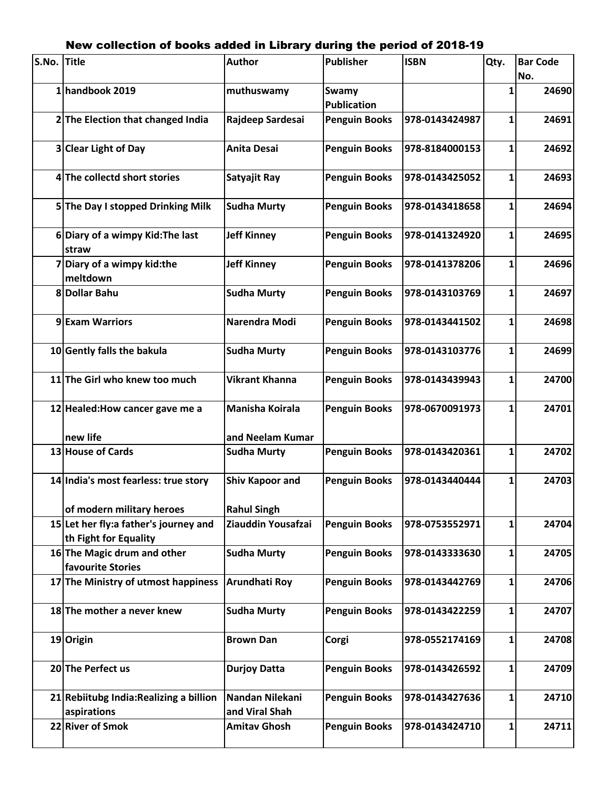## S.No. Title |Author Publisher |ISBN |Qty. |Bar Code **No.** 1| handbook 2019 **muthuswamy** | Swamy **Publication 1 24690 2 The Election that changed India Rajdeep Sardesai Penguin Books 978-0143424987 1 24691 3 Clear Light of Day Anita Desai Penguin Books 978-8184000153 1 24692 4 The collectd short stories Satyajit Ray Penguin Books 978-0143425052 1 24693 5 The Day I stopped Drinking Milk Sudha Murty Penguin Books 978-0143418658 1 24694 6 Diary of a wimpy Kid:The last straw Jeff Kinney Penguin Books 978-0141324920 1 24695 7 Diary of a wimpy kid:the meltdown Jeff Kinney Penguin Books 978-0141378206 1 24696 8 Dollar Bahu Sudha Murty Penguin Books 978-0143103769 1 24697 9 Exam Warriors Narendra Modi Penguin Books 978-0143441502 1 24698 10 Gently falls the bakula Sudha Murty Penguin Books 978-0143103776 1 24699 11 The Girl who knew too much Vikrant Khanna Penguin Books 978-0143439943 1 24700 12 Healed:How cancer gave me a new life Manisha Koirala and Neelam Kumar Penguin Books 978-0670091973 1 24701 13 House of Cards Sudha Murty Penguin Books 978-0143420361 1 24702 14 India's most fearless: true story of modern military heroes Shiv Kapoor and Rahul Singh Penguin Books 978-0143440444 1 24703 15 Let her fly:a father's journey and th Fight for Equality Ziauddin Yousafzai Penguin Books 978-0753552971 1 24704 16 The Magic drum and other favourite Stories Sudha Murty Penguin Books 978-0143333630 1 24705 17 The Ministry of utmost happiness Arundhati Roy Penguin Books 978-0143442769 1 24706 18 The mother a never knew Sudha Murty Penguin Books 978-0143422259 1 24707 19 Origin Brown Dan Corgi 978-0552174169 1 24708 20 The Perfect us Durjoy Datta Penguin Books 978-0143426592 1 24709 21 Rebiitubg India:Realizing a billion aspirations Nandan Nilekani and Viral Shah Penguin Books 978-0143427636 1 24710 22 River of Smok Amitav Ghosh Penguin Books 978-0143424710 1 24711**

## New collection of books added in Library during the period of 2018-19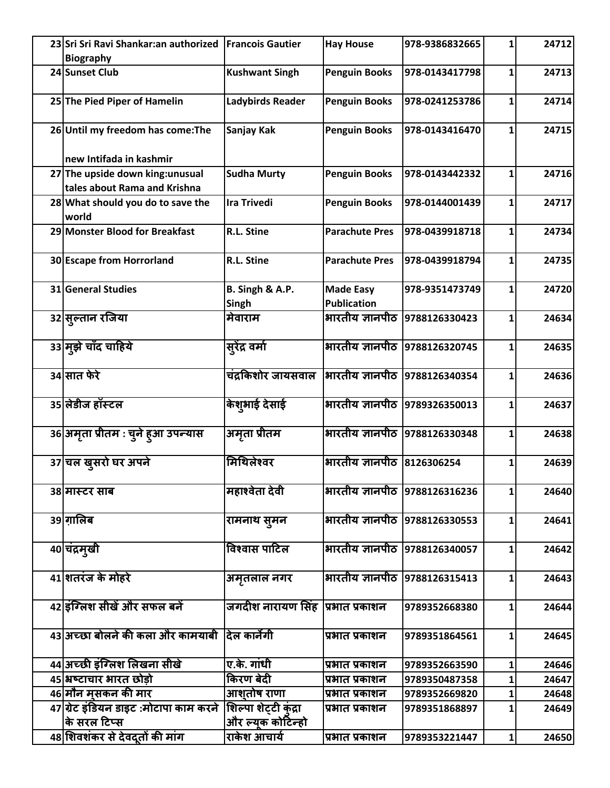| 23 Sri Sri Ravi Shankar: an authorized<br><b>Biography</b>                                  | <b>Francois Gautier</b>           | <b>Hay House</b>                       | 978-9386832665                 | 1            | 24712 |
|---------------------------------------------------------------------------------------------|-----------------------------------|----------------------------------------|--------------------------------|--------------|-------|
| 24 Sunset Club                                                                              | <b>Kushwant Singh</b>             | <b>Penguin Books</b>                   | 978-0143417798                 | 1            | 24713 |
| 25 The Pied Piper of Hamelin                                                                | Ladybirds Reader                  | <b>Penguin Books</b>                   | 978-0241253786                 | 1            | 24714 |
| 26 Until my freedom has come: The                                                           | Sanjay Kak                        | <b>Penguin Books</b>                   | 978-0143416470                 | 1            | 24715 |
| new Intifada in kashmir<br>27 The upside down king: unusual<br>tales about Rama and Krishna | <b>Sudha Murty</b>                | <b>Penguin Books</b>                   | 978-0143442332                 | 1            | 24716 |
| 28 What should you do to save the<br>world                                                  | <b>Ira Trivedi</b>                | <b>Penguin Books</b>                   | 978-0144001439                 | 1            | 24717 |
| 29 Monster Blood for Breakfast                                                              | R.L. Stine                        | <b>Parachute Pres</b>                  | 978-0439918718                 | $\mathbf{1}$ | 24734 |
| 30 Escape from Horrorland                                                                   | R.L. Stine                        | <b>Parachute Pres</b>                  | 978-0439918794                 | 1            | 24735 |
| 31 General Studies                                                                          | B. Singh & A.P.<br>Singh          | <b>Made Easy</b><br><b>Publication</b> | 978-9351473749                 | $\mathbf{1}$ | 24720 |
| 32 सुल्तान रजिया                                                                            | मेवाराम                           | भारतीय ज्ञानपीठ                        | 9788126330423                  | 1            | 24634 |
| 33 मूझे चाँद चाहिये                                                                         | सूरेंद्र वर्मा                    | भारतीय ज्ञानपीठ                        | 9788126320745                  | 1            | 24635 |
| 34 सात फेरे                                                                                 | चंद्रकिशोर जायसवाल                |                                        | भारतीय ज्ञानपीठ 9788126340354  | 1            | 24636 |
| 35 लेडीज हॉस्टल                                                                             | केशुभाई देसाई                     |                                        | भारतीय ज्ञानपीठ  9789326350013 | $\mathbf{1}$ | 24637 |
| 36 अमृता प्रीतम : चुने हुआ उपन्यास                                                          | अमृता प्रीतम                      | भारतीय ज्ञानपीठ                        | 9788126330348                  | $\mathbf{1}$ | 24638 |
| 37 चल ख़ुसरो घर अपने                                                                        | मिथिलेश्वर                        | भारतीय ज्ञानपीठ 8126306254             |                                | 1            | 24639 |
| 38 मास्टर साब                                                                               | महाश्वेता देवी                    |                                        | भारतीय ज्ञानपीठ 9788126316236  | 1            | 24640 |
| 39 ग़ालिब                                                                                   | रामनाथ सूमन                       |                                        | भारतीय ज्ञानपीठ  9788126330553 | 1            | 24641 |
| 40 चंद्रमुखी                                                                                | विश्वास पाटिल                     |                                        | भारतीय ज्ञानपीठ 9788126340057  | 1            | 24642 |
| 41 शतरंज के मोहरे                                                                           | अमृतलाल नगर                       |                                        | भारतीय ज्ञानपीठ  9788126315413 | 1            | 24643 |
| 42 इंग्लिश सीखें और सफल बनें                                                                | जगदीश नारायण सिंह  प्रभात प्रकाशन |                                        | 9789352668380                  | 1            | 24644 |
| 43 अच्छा बोलने की कला और कामयाबी                                                            | दिल कार्नेगी                      | प्रभात प्रकाशन                         | 9789351864561                  | 1            | 24645 |
| 44 अच्छी इंग्लिश लिखना सीखे                                                                 | ए.के. गांधी                       | प्रभात प्रकाशन                         | 9789352663590                  | 1            | 24646 |
| 45 अष्टाचार भारत छोड़ो                                                                      | किरण बेदी                         | प्रभात प्रकाशन                         | 9789350487358                  | 1            | 24647 |
| 46 मौन म़ुसकन की मार                                                                        | आशुतोष राणा                       | प्रभात प्रकाशन                         | 9789352669820                  | 1            | 24648 |
| 47 ग्रेट इंडियन डाइट :मोटापा काम करने                                                       | शिल्पा शेट्टी कुंद्रा             | प्रभात प्रकाशन                         | 9789351868897                  | 1            | 24649 |
| के सरल टिप्स                                                                                | और ल्यूक कोटिन्हो                 |                                        |                                |              |       |
| 48 शिवशंकर से देवदूतों की मांग                                                              | राकेश आचार्य                      | प्रभात प्रकाशन                         | 9789353221447                  | $\mathbf{1}$ | 24650 |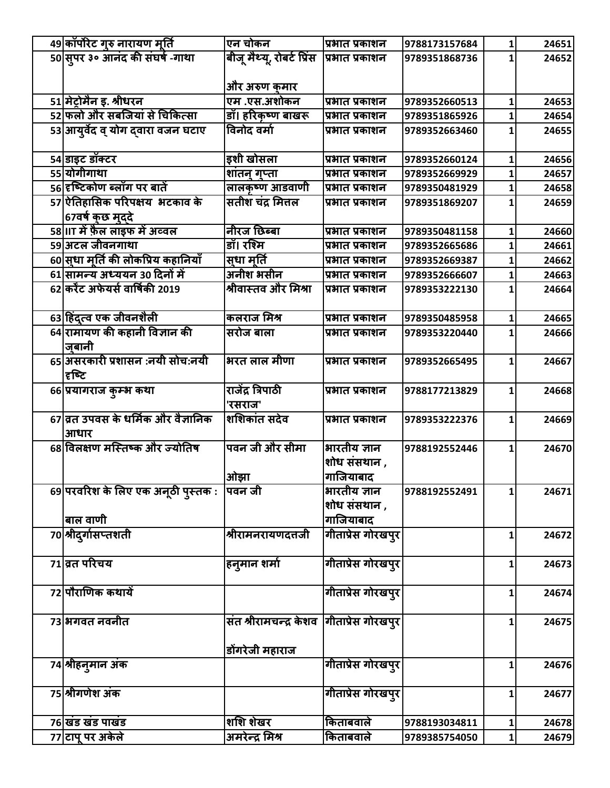| 49 कॉर्पोरेट गुरु नारायण मूर्ति     | एन चोकन                                   | प्रभात प्रकाशन    | 9788173157684 | 1 | 24651 |
|-------------------------------------|-------------------------------------------|-------------------|---------------|---|-------|
| 50 सुपर ३० आनंद की संघर्ष -गाथा     | बीजू मैथ्यू, रोबर्ट प्रिंस                | प्रभात प्रकाशन    | 9789351868736 |   | 24652 |
|                                     |                                           |                   |               |   |       |
|                                     | और अरुण कुमार                             |                   |               |   |       |
| 51 मेट्रोमैन इ. श्रीधरन             | एम .एस.अशोकन                              | प्रभात प्रकाशन    | 9789352660513 | 1 | 24653 |
| 52 फलो और सबजियां से चिकित्सा       | डॉ। हरिकृष्ण बाखरू                        | प्रभात प्रकाशन    | 9789351865926 |   | 24654 |
| 53 आयुर्वेद व् योग दवारा वजन घटाए   | विनोद वर्मा                               | प्रभात प्रकाशन    | 9789352663460 |   | 24655 |
|                                     |                                           |                   |               |   |       |
| 54 डाइट डॉक्टर                      | इशी खोसला                                 | प्रभात प्रकाशन    | 9789352660124 | 1 | 24656 |
| 55 योगीगाथा                         | शांतन् गुप्ता                             | प्रभात प्रकाशन    | 9789352669929 |   | 24657 |
| 56 हष्टिकोण ब्लॉग पर बातें          | लालकृष्ण आडवाणी                           | प्रभात प्रकाशन    | 9789350481929 |   | 24658 |
| 57 ऐतिहासिक परिपक्षय भटकाव के       | सतीश चंद्र मित्तल                         | प्रभात प्रकाशन    | 9789351869207 |   | 24659 |
| 67वर्ष कछ मददे                      |                                           |                   |               |   |       |
| 58 IIT में फ़ैल लाइफ में अव्वल      | नीरज छिब्बा                               | प्रभात प्रकाशन    | 9789350481158 | 1 | 24660 |
| 59 अटल जीवनगाथा                     | डॉ। रश्मि                                 | प्रभात प्रकाशन    | 9789352665686 |   | 24661 |
| 60 सुधा मूर्ति की लोकप्रिय कहानियाँ | सुधा मूर्ति                               | प्रभात प्रकाशन    | 9789352669387 |   | 24662 |
| 61 सामन्य अध्ययन 30 दिनों में       | अनीश भसीन                                 | प्रभात प्रकाशन    | 9789352666607 |   | 24663 |
| 62 करेंट अफेयर्स वार्षिकी 2019      | श्रीवास्तव और मिश्रा                      | प्रभात प्रकाशन    | 9789353222130 |   | 24664 |
|                                     |                                           |                   |               |   |       |
| 63 हिंद्त्व एक जीवनशैली             | कलराज मिश्र                               | प्रभात प्रकाशन    | 9789350485958 | 1 | 24665 |
| 64 रामायण की कहानी विज्ञान की       | सरोज बाला                                 | प्रभात प्रकाशन    | 9789353220440 |   | 24666 |
| जबानी                               |                                           |                   |               |   |       |
| 65 असरकारी प्रशासन :नयी सोच:नयी     | भरत लाल मीणा                              | प्रभात प्रकाशन    | 9789352665495 | 1 | 24667 |
| हिल्टि                              |                                           |                   |               |   |       |
| 66 प्रयागराज कुम्भ कथा              | राजेंद्र त्रिपाठी                         | प्रभात प्रकाशन    | 9788177213829 |   | 24668 |
|                                     | 'रसराज'                                   |                   |               |   |       |
| 67 व्रत उपवस के धर्मिक और वैज्ञानिक | शशिकांत सदेव                              | प्रभात प्रकाशन    | 9789353222376 | 1 | 24669 |
| आधार                                |                                           |                   |               |   |       |
| 68 विलक्षण मस्तिष्क और ज्योतिष      | पवन जी और सीमा                            | भारतीय ज्ञान      | 9788192552446 |   | 24670 |
|                                     |                                           | शोध संसथान ,      |               |   |       |
|                                     | ओझा                                       | गाजियाबाद         |               |   |       |
|                                     | पवन जी                                    | भारतीय ज्ञान      | 9788192552491 |   | 24671 |
| 69 परवरिश के लिए एक अनूठी पुस्तक :  |                                           | शोध संसथान ,      |               |   |       |
| बाल वाणी                            |                                           | गाजियाबाद         |               |   |       |
| 70 श्रीदुर्गासप्तशती                | श्रीरामनरायणदत्तजी                        | गीताप्रेस गोरखपुर |               |   |       |
|                                     |                                           |                   |               | 1 | 24672 |
| 71 व्रत परिचय                       |                                           |                   |               |   |       |
|                                     | हनुमान शर्मा                              | गीताप्रेस गोरखपुर |               | 1 | 24673 |
| 72 पौराणिक कथायें                   |                                           | गीताप्रेस गोरखपुर |               |   | 24674 |
|                                     |                                           |                   |               | 1 |       |
|                                     |                                           |                   |               |   |       |
| 73 भगवत नवनीत                       | संत श्रीरामचन्द्र केशव  गीताप्रेस गोरखपुर |                   |               | 1 | 24675 |
|                                     |                                           |                   |               |   |       |
|                                     | डोंगरेजी महाराज                           |                   |               |   |       |
| 74 श्रीहनुमान अंक                   |                                           | गीताप्रेस गोरखपुर |               | 1 | 24676 |
|                                     |                                           |                   |               |   |       |
| 75 श्रीगणेश अंक                     |                                           | गीताप्रेस गोरखपुर |               | 1 | 24677 |
|                                     |                                           |                   |               |   |       |
| 76 खंड खंड पाखंड                    | शशि शेखर                                  | किताबवाले         | 9788193034811 | 1 | 24678 |
| 77 टाप पर अकेले                     | अमरेन्द्र मिश्र                           | किताबवाले         | 9789385754050 | 1 | 24679 |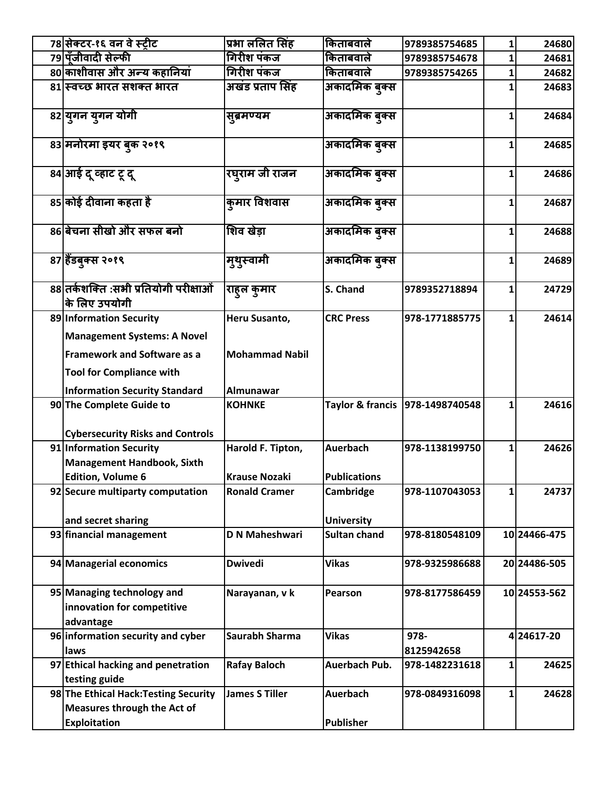| 78 सेक्टर-१६ वन वे स्टीट                                                                            | प्रभा ललित सिंह                        | किताबवाले             | 9789385754685                   | 1 | 24680        |
|-----------------------------------------------------------------------------------------------------|----------------------------------------|-----------------------|---------------------------------|---|--------------|
| 79 पॅंजीवादी सेल्फी                                                                                 | गिरीश पंकज                             | किताबवाले             | 9789385754678                   | 1 | 24681        |
| 80 काशीवास और अन्य कहानियां                                                                         | गिरीश पंकज                             | किताबवाले             | 9789385754265                   | 1 | 24682        |
| 81 स्वच्छ भारत सशक्त भारत                                                                           | अखंड प्रताप सिंह                       | अकादमिक बुक्स         |                                 |   | 24683        |
| 82 युगन युगन योगी                                                                                   | सुब्रमण्यम                             | अकादमिक ब्क्स         |                                 | 1 | 24684        |
| 83 मनोरमा इयर बुक २०१९                                                                              |                                        | अकादमिक ब्क्स         |                                 | 1 | 24685        |
| 84 आई दू व्हाट टू दू                                                                                | रघुराम जी राजन                         | अकादमिक बुक्स         |                                 | 1 | 24686        |
| 85 कोई दीवाना कहता है                                                                               | कुमार विशवास                           | अकादमिक ब् <b>क्स</b> |                                 | 1 | 24687        |
| 86 बेचना सीखो और सफल बनो                                                                            | शिव खेडा                               | अकादमिक बुक्स         |                                 | 1 | 24688        |
| 87 हैंडबुक्स २०१९                                                                                   | म्थुस्वामी                             | अकादमिक बुक्स         |                                 | 1 | 24689        |
| 88 तर्कशक्ति :सभी प्रतियोगी परीक्षाओं<br>कि लिए उपयोगी                                              | राहुल कुमार                            | S. Chand              | 9789352718894                   | 1 | 24729        |
| 89 Information Security<br><b>Management Systems: A Novel</b><br><b>Framework and Software as a</b> | Heru Susanto,<br><b>Mohammad Nabil</b> | <b>CRC Press</b>      | 978-1771885775                  | 1 | 24614        |
| <b>Tool for Compliance with</b><br><b>Information Security Standard</b>                             | Almunawar                              |                       |                                 |   |              |
| 90 The Complete Guide to                                                                            | <b>KOHNKE</b>                          |                       | Taylor & francis 978-1498740548 | 1 | 24616        |
| <b>Cybersecurity Risks and Controls</b>                                                             |                                        |                       |                                 |   |              |
| 91 Information Security                                                                             | Harold F. Tipton,                      | <b>Auerbach</b>       | 978-1138199750                  | 1 | 24626        |
| <b>Management Handbook, Sixth</b>                                                                   |                                        |                       |                                 |   |              |
| <b>Edition, Volume 6</b>                                                                            | <b>Krause Nozaki</b>                   | <b>Publications</b>   |                                 |   |              |
| 92 Secure multiparty computation                                                                    | <b>Ronald Cramer</b>                   | Cambridge             | 978-1107043053                  | 1 | 24737        |
| and secret sharing                                                                                  |                                        | <b>University</b>     |                                 |   |              |
| 93 financial management                                                                             | <b>D N Maheshwari</b>                  | <b>Sultan chand</b>   | 978-8180548109                  |   | 10 24466-475 |
|                                                                                                     |                                        |                       |                                 |   |              |
| 94 Managerial economics                                                                             | <b>Dwivedi</b>                         | <b>Vikas</b>          | 978-9325986688                  |   | 20 24486-505 |
| 95 Managing technology and<br>innovation for competitive<br>advantage                               | Narayanan, v k                         | Pearson               | 978-8177586459                  |   | 10 24553-562 |
| 96 information security and cyber<br>laws                                                           | Saurabh Sharma                         | <b>Vikas</b>          | 978-<br>8125942658              |   | 4 24617-20   |
| 97 Ethical hacking and penetration                                                                  | <b>Rafay Baloch</b>                    | Auerbach Pub.         | 978-1482231618                  | 1 | 24625        |
| testing guide                                                                                       |                                        |                       |                                 |   |              |
| 98 The Ethical Hack: Testing Security<br><b>Measures through the Act of</b>                         | <b>James S Tiller</b>                  | Auerbach              | 978-0849316098                  | 1 | 24628        |
| <b>Exploitation</b>                                                                                 |                                        | <b>Publisher</b>      |                                 |   |              |
|                                                                                                     |                                        |                       |                                 |   |              |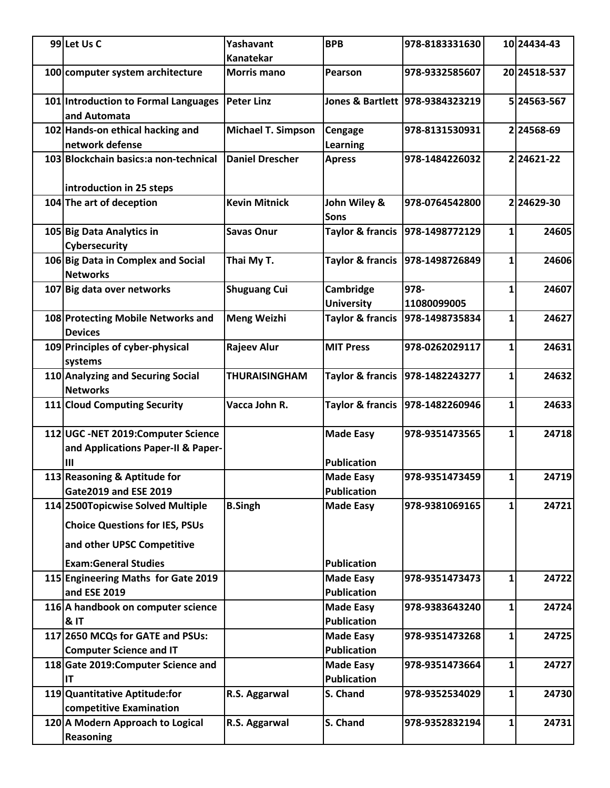| 99 Let Us C                                           | Yashavant                 | <b>BPB</b>                     | 978-8183331630                  |              | 10 24434-43  |
|-------------------------------------------------------|---------------------------|--------------------------------|---------------------------------|--------------|--------------|
|                                                       | <b>Kanatekar</b>          |                                |                                 |              |              |
| 100 computer system architecture                      | <b>Morris mano</b>        | Pearson                        | 978-9332585607                  |              | 20 24518-537 |
| 101 Introduction to Formal Languages<br>and Automata  | <b>Peter Linz</b>         |                                | Jones & Bartlett 978-9384323219 |              | 5 24563-567  |
| 102 Hands-on ethical hacking and                      | <b>Michael T. Simpson</b> | Cengage                        | 978-8131530931                  |              | 224568-69    |
| network defense                                       |                           | Learning                       |                                 |              |              |
| 103 Blockchain basics: a non-technical                | <b>Daniel Drescher</b>    | <b>Apress</b>                  | 978-1484226032                  |              | 224621-22    |
| introduction in 25 steps                              |                           |                                |                                 |              |              |
| 104 The art of deception                              | <b>Kevin Mitnick</b>      | John Wiley &<br><b>Sons</b>    | 978-0764542800                  |              | 224629-30    |
| 105 Big Data Analytics in<br>Cybersecurity            | <b>Savas Onur</b>         | <b>Taylor &amp; francis</b>    | 978-1498772129                  | 1            | 24605        |
| 106 Big Data in Complex and Social<br><b>Networks</b> | Thai My T.                | <b>Taylor &amp; francis</b>    | 978-1498726849                  | 1            | 24606        |
| 107 Big data over networks                            | <b>Shuguang Cui</b>       | Cambridge<br><b>University</b> | 978-<br>11080099005             | 1            | 24607        |
| 108 Protecting Mobile Networks and<br><b>Devices</b>  | <b>Meng Weizhi</b>        | <b>Taylor &amp; francis</b>    | 978-1498735834                  | 1            | 24627        |
| 109 Principles of cyber-physical<br>systems           | <b>Rajeev Alur</b>        | <b>MIT Press</b>               | 978-0262029117                  | 1            | 24631        |
| 110 Analyzing and Securing Social                     | <b>THURAISINGHAM</b>      | <b>Taylor &amp; francis</b>    | 978-1482243277                  | 1            | 24632        |
| <b>Networks</b>                                       |                           |                                |                                 |              |              |
| 111 Cloud Computing Security                          | Vacca John R.             | <b>Taylor &amp; francis</b>    | 978-1482260946                  | 1            | 24633        |
| 112 UGC - NET 2019: Computer Science                  |                           | <b>Made Easy</b>               | 978-9351473565                  | 1            | 24718        |
| and Applications Paper-II & Paper-                    |                           |                                |                                 |              |              |
| Ш                                                     |                           | <b>Publication</b>             |                                 |              |              |
| 113 Reasoning & Aptitude for                          |                           | <b>Made Easy</b>               | 978-9351473459                  | $\mathbf{1}$ | 24719        |
| <b>Gate2019 and ESE 2019</b>                          |                           | <b>Publication</b>             |                                 |              |              |
| 114 2500 Topicwise Solved Multiple                    | <b>B.Singh</b>            | <b>Made Easy</b>               | 978-9381069165                  | 1            | 24721        |
| <b>Choice Questions for IES, PSUs</b>                 |                           |                                |                                 |              |              |
| and other UPSC Competitive                            |                           |                                |                                 |              |              |
| <b>Exam:General Studies</b>                           |                           | <b>Publication</b>             |                                 |              |              |
| 115 Engineering Maths for Gate 2019                   |                           | <b>Made Easy</b>               | 978-9351473473                  | 1            | 24722        |
| and ESE 2019                                          |                           | <b>Publication</b>             |                                 |              |              |
| 116 A handbook on computer science                    |                           | <b>Made Easy</b>               | 978-9383643240                  | $\mathbf{1}$ | 24724        |
| <b>&amp; IT</b>                                       |                           | <b>Publication</b>             |                                 |              |              |
| 117 2650 MCQs for GATE and PSUs:                      |                           | <b>Made Easy</b>               | 978-9351473268                  | 1            | 24725        |
| <b>Computer Science and IT</b>                        |                           | <b>Publication</b>             |                                 |              |              |
| 118 Gate 2019: Computer Science and                   |                           | <b>Made Easy</b>               | 978-9351473664                  | 1            | 24727        |
| IT                                                    |                           | <b>Publication</b>             |                                 |              |              |
| 119 Quantitative Aptitude:for                         | R.S. Aggarwal             | S. Chand                       | 978-9352534029                  | 1            | 24730        |
| competitive Examination                               |                           |                                |                                 |              |              |
| 120 A Modern Approach to Logical<br><b>Reasoning</b>  | R.S. Aggarwal             | S. Chand                       | 978-9352832194                  | 1            | 24731        |
|                                                       |                           |                                |                                 |              |              |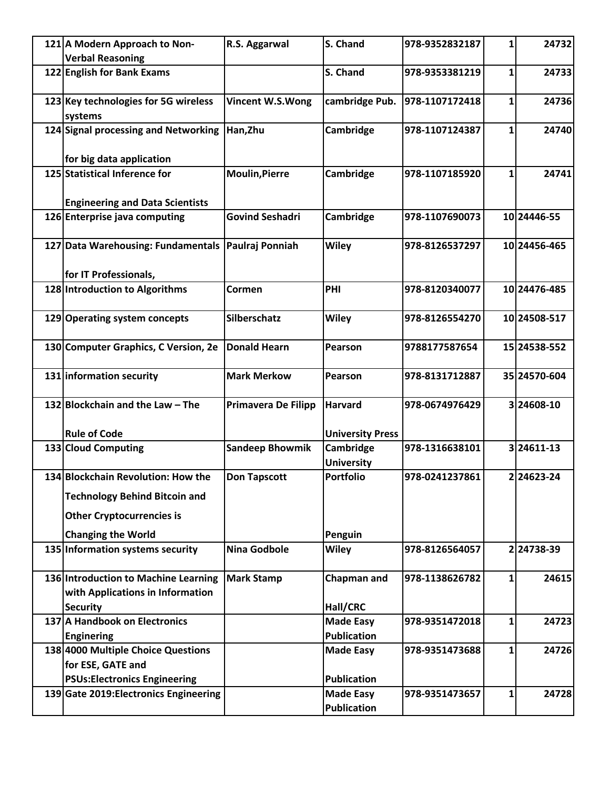| 121 A Modern Approach to Non-                                            | R.S. Aggarwal              | S. Chand                               | 978-9352832187 | 1            | 24732        |
|--------------------------------------------------------------------------|----------------------------|----------------------------------------|----------------|--------------|--------------|
| <b>Verbal Reasoning</b>                                                  |                            |                                        |                |              |              |
| 122 English for Bank Exams                                               |                            | S. Chand                               | 978-9353381219 | 1            | 24733        |
| 123 Key technologies for 5G wireless<br>systems                          | Vincent W.S.Wong           | cambridge Pub.                         | 978-1107172418 | $\mathbf{1}$ | 24736        |
| 124 Signal processing and Networking                                     | Han, Zhu                   | Cambridge                              | 978-1107124387 | 1            | 24740        |
| for big data application                                                 |                            |                                        |                |              |              |
| 125 Statistical Inference for                                            | <b>Moulin, Pierre</b>      | Cambridge                              | 978-1107185920 | 1            | 24741        |
| <b>Engineering and Data Scientists</b>                                   |                            |                                        |                |              |              |
| 126 Enterprise java computing                                            | <b>Govind Seshadri</b>     | Cambridge                              | 978-1107690073 |              | 10 24446-55  |
| 127 Data Warehousing: Fundamentals                                       | Paulraj Ponniah            | Wiley                                  | 978-8126537297 |              | 10 24456-465 |
| for IT Professionals,                                                    |                            |                                        |                |              |              |
| 128 Introduction to Algorithms                                           | Cormen                     | PHI                                    | 978-8120340077 |              | 10 24476-485 |
| 129 Operating system concepts                                            | Silberschatz               | Wiley                                  | 978-8126554270 |              | 10 24508-517 |
| 130 Computer Graphics, C Version, 2e                                     | <b>Donald Hearn</b>        | Pearson                                | 9788177587654  |              | 15 24538-552 |
| 131 information security                                                 | <b>Mark Merkow</b>         | Pearson                                | 978-8131712887 |              | 35 24570-604 |
| 132 Blockchain and the Law - The                                         | <b>Primavera De Filipp</b> | <b>Harvard</b>                         | 978-0674976429 |              | 3 24608-10   |
| <b>Rule of Code</b>                                                      |                            | <b>University Press</b>                |                |              |              |
| 133 Cloud Computing                                                      | <b>Sandeep Bhowmik</b>     | Cambridge<br><b>University</b>         | 978-1316638101 |              | 324611-13    |
| 134 Blockchain Revolution: How the                                       | <b>Don Tapscott</b>        | <b>Portfolio</b>                       | 978-0241237861 |              | 224623-24    |
| <b>Technology Behind Bitcoin and</b>                                     |                            |                                        |                |              |              |
| <b>Other Cryptocurrencies is</b>                                         |                            |                                        |                |              |              |
| <b>Changing the World</b>                                                |                            | Penguin                                |                |              |              |
| 135 Information systems security                                         | Nina Godbole               | Wiley                                  | 978-8126564057 |              | 224738-39    |
| 136 Introduction to Machine Learning<br>with Applications in Information | <b>Mark Stamp</b>          | Chapman and                            | 978-1138626782 | 1            | 24615        |
| <b>Security</b>                                                          |                            | Hall/CRC                               |                |              |              |
| 137 A Handbook on Electronics                                            |                            | <b>Made Easy</b>                       | 978-9351472018 | 1            | 24723        |
| <b>Enginering</b>                                                        |                            | <b>Publication</b>                     |                |              |              |
| 138 4000 Multiple Choice Questions                                       |                            | <b>Made Easy</b>                       | 978-9351473688 | 1            | 24726        |
| for ESE, GATE and                                                        |                            | <b>Publication</b>                     |                |              |              |
| <b>PSUs:Electronics Engineering</b>                                      |                            |                                        |                |              |              |
| 139 Gate 2019: Electronics Engineering                                   |                            | <b>Made Easy</b><br><b>Publication</b> | 978-9351473657 | 1            | 24728        |